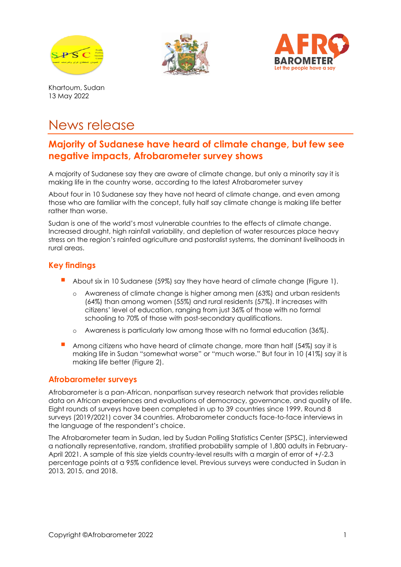





Khartoum, Sudan 13 May 2022

# News release

# **Majority of Sudanese have heard of climate change, but few see negative impacts, Afrobarometer survey shows**

A majority of Sudanese say they are aware of climate change, but only a minority say it is making life in the country worse, according to the latest Afrobarometer survey

About four in 10 Sudanese say they have not heard of climate change, and even among those who are familiar with the concept, fully half say climate change is making life better rather than worse.

Sudan is one of the world's most vulnerable countries to the effects of climate change. Increased drought, high rainfall variability, and depletion of water resources place heavy stress on the region's rainfed agriculture and pastoralist systems, the dominant livelihoods in rural areas.

## **Key findings**

- About six in 10 Sudanese (59%) say they have heard of climate change (Figure 1).
	- o Awareness of climate change is higher among men (63%) and urban residents (64%) than among women (55%) and rural residents (57%). It increases with citizens' level of education, ranging from just 36% of those with no formal schooling to 70% of those with post-secondary qualifications.
	- o Awareness is particularly low among those with no formal education (36%).
- Among citizens who have heard of climate change, more than half (54%) say it is making life in Sudan "somewhat worse" or "much worse." But four in 10 (41%) say it is making life better (Figure 2).

#### **Afrobarometer surveys**

Afrobarometer is a pan-African, nonpartisan survey research network that provides reliable data on African experiences and evaluations of democracy, governance, and quality of life. Eight rounds of surveys have been completed in up to 39 countries since 1999. Round 8 surveys (2019/2021) cover 34 countries. Afrobarometer conducts face-to-face interviews in the language of the respondent's choice.

The Afrobarometer team in Sudan, led by Sudan Polling Statistics Center (SPSC), interviewed a nationally representative, random, stratified probability sample of 1,800 adults in February-April 2021. A sample of this size yields country-level results with a margin of error of +/-2.3 percentage points at a 95% confidence level. Previous surveys were conducted in Sudan in 2013, 2015, and 2018.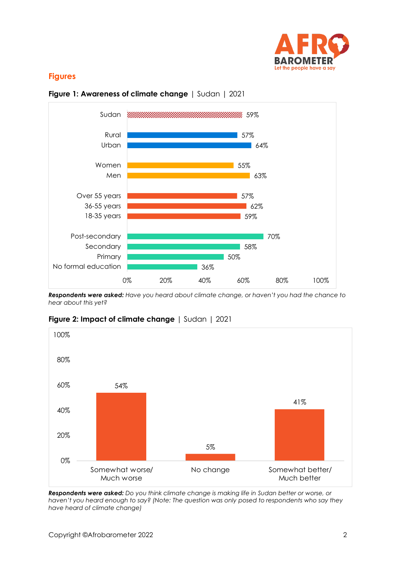

#### **Figures**





*Respondents were asked: Have you heard about climate change, or haven't you had the chance to hear about this yet?* 



**Figure 2: Impact of climate change** | Sudan | 2021

*Respondents were asked: Do you think climate change is making life in Sudan better or worse, or haven't you heard enough to say? (Note: The question was only posed to respondents who say they have heard of climate change)*